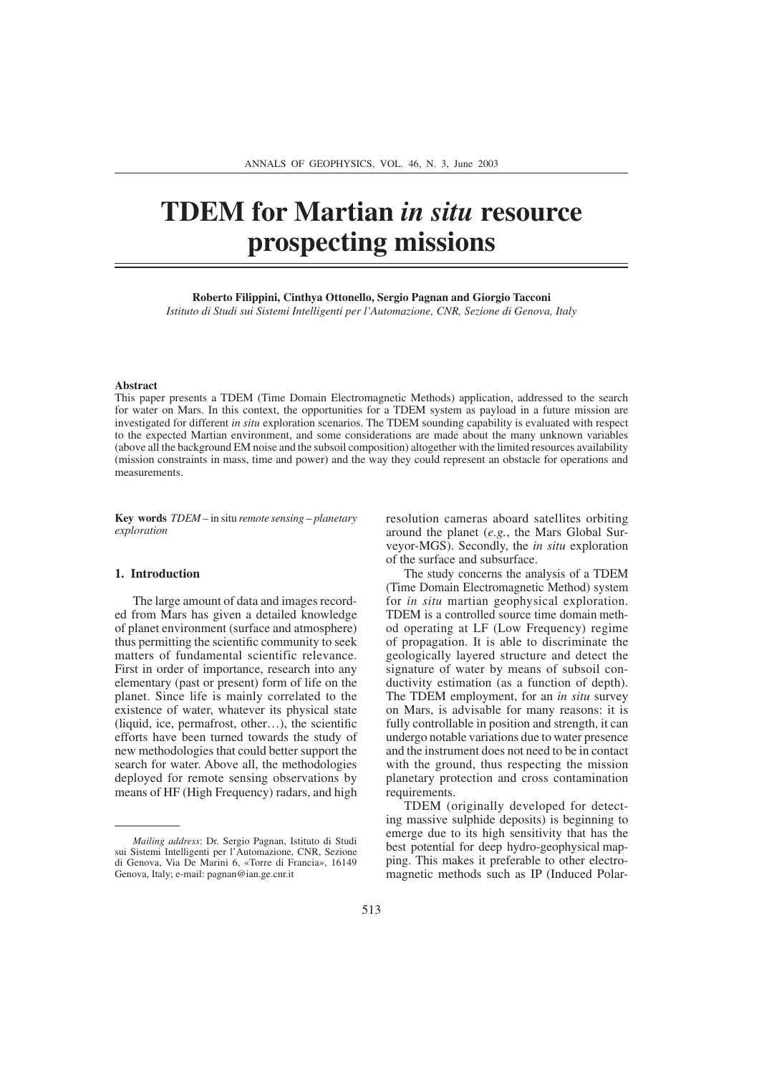# **TDEM for Martian** *in situ* **resource prospecting missions**

**Roberto Filippini, Cinthya Ottonello, Sergio Pagnan and Giorgio Tacconi**  *Istituto di Studi sui Sistemi Intelligenti per l'Automazione, CNR, Sezione di Genova, Italy*

#### **Abstract**

This paper presents a TDEM (Time Domain Electromagnetic Methods) application, addressed to the search for water on Mars. In this context, the opportunities for a TDEM system as payload in a future mission are investigated for different *in situ* exploration scenarios. The TDEM sounding capability is evaluated with respect to the expected Martian environment, and some considerations are made about the many unknown variables (above all the background EM noise and the subsoil composition) altogether with the limited resources availability (mission constraints in mass, time and power) and the way they could represent an obstacle for operations and measurements.

**Key words** *TDEM –* in situ *remote sensing – planetary exploration*

## **1. Introduction**

The large amount of data and images recorded from Mars has given a detailed knowledge of planet environment (surface and atmosphere) thus permitting the scientific community to seek matters of fundamental scientific relevance. First in order of importance, research into any elementary (past or present) form of life on the planet. Since life is mainly correlated to the existence of water, whatever its physical state (liquid, ice, permafrost, other…), the scientific efforts have been turned towards the study of new methodologies that could better support the search for water. Above all, the methodologies deployed for remote sensing observations by means of HF (High Frequency) radars, and high resolution cameras aboard satellites orbiting around the planet (*e.g.*, the Mars Global Surveyor-MGS). Secondly, the *in situ* exploration of the surface and subsurface.

The study concerns the analysis of a TDEM (Time Domain Electromagnetic Method) system for *in situ* martian geophysical exploration. TDEM is a controlled source time domain method operating at LF (Low Frequency) regime of propagation. It is able to discriminate the geologically layered structure and detect the signature of water by means of subsoil conductivity estimation (as a function of depth). The TDEM employment, for an *in situ* survey on Mars, is advisable for many reasons: it is fully controllable in position and strength, it can undergo notable variations due to water presence and the instrument does not need to be in contact with the ground, thus respecting the mission planetary protection and cross contamination requirements.

TDEM (originally developed for detecting massive sulphide deposits) is beginning to emerge due to its high sensitivity that has the best potential for deep hydro-geophysical mapping. This makes it preferable to other electromagnetic methods such as IP (Induced Polar-

*Mailing address*: Dr. Sergio Pagnan, Istituto di Studi sui Sistemi Intelligenti per l'Automazione, CNR, Sezione di Genova, Via De Marini 6, «Torre di Francia», 16149 Genova, Italy; e-mail: pagnan@ian.ge.cnr.it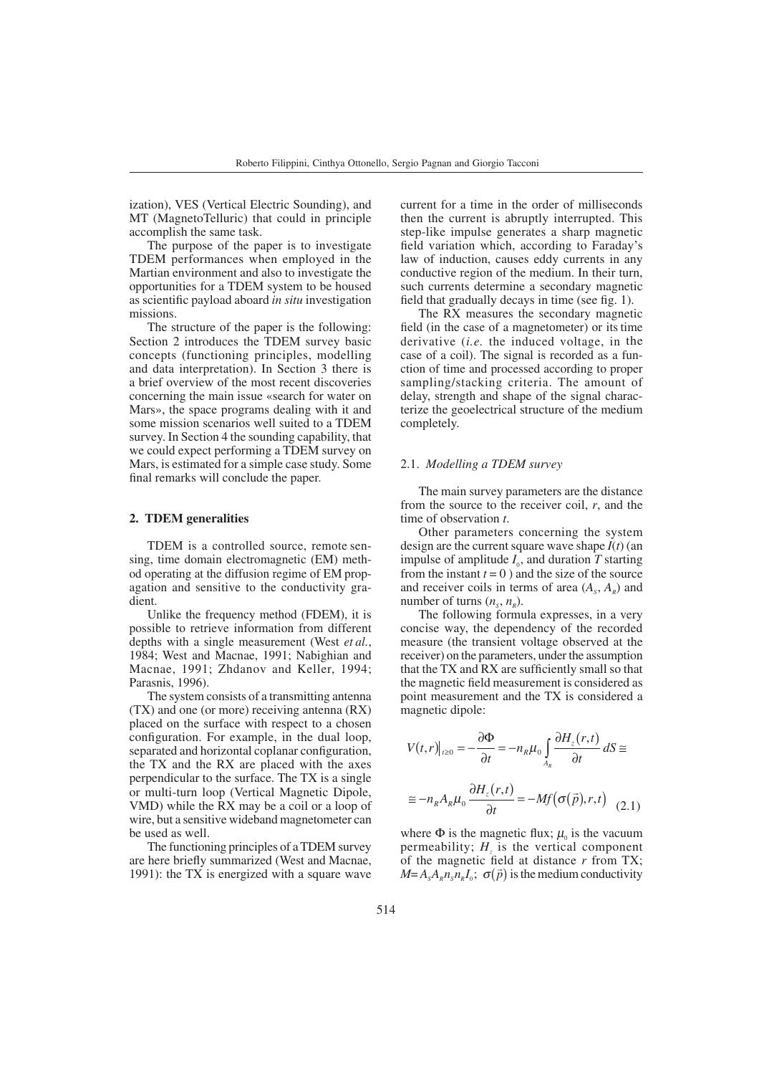ization), VES (Vertical Electric Sounding), and MT (MagnetoTelluric) that could in principle accomplish the same task.

The purpose of the paper is to investigate TDEM performances when employed in the Martian environment and also to investigate the opportunities for a TDEM system to be housed as scientific payload aboard *in situ* investigation missions.

The structure of the paper is the following: Section 2 introduces the TDEM survey basic concepts (functioning principles, modelling and data interpretation). In Section 3 there is a brief overview of the most recent discoveries concerning the main issue «search for water on Mars», the space programs dealing with it and some mission scenarios well suited to a TDEM survey. In Section 4 the sounding capability, that we could expect performing a TDEM survey on Mars, is estimated for a simple case study. Some final remarks will conclude the paper.

#### **2. TDEM generalities**

TDEM is a controlled source, remote sensing, time domain electromagnetic (EM) method operating at the diffusion regime of EM propagation and sensitive to the conductivity gradient.

Unlike the frequency method (FDEM), it is possible to retrieve information from different depths with a single measurement (West *et al.*, 1984; West and Macnae, 1991; Nabighian and Macnae, 1991; Zhdanov and Keller, 1994; Parasnis, 1996).

The system consists of a transmitting antenna (TX) and one (or more) receiving antenna (RX) placed on the surface with respect to a chosen configuration. For example, in the dual loop, separated and horizontal coplanar configuration, the TX and the RX are placed with the axes perpendicular to the surface. The TX is a single or multi-turn loop (Vertical Magnetic Dipole, VMD) while the RX may be a coil or a loop of wire, but a sensitive wideband magnetometer can be used as well.

The functioning principles of a TDEM survey are here briefly summarized (West and Macnae, 1991): the  $TX$  is energized with a square wave

current for a time in the order of milliseconds then the current is abruptly interrupted. This step-like impulse generates a sharp magnetic field variation which, according to Faraday's law of induction, causes eddy currents in any conductive region of the medium. In their turn, such currents determine a secondary magnetic field that gradually decays in time (see fig. 1).

The RX measures the secondary magnetic field (in the case of a magnetometer) or its time derivative (*i.e.* the induced voltage, in the case of a coil). The signal is recorded as a function of time and processed according to proper sampling/stacking criteria. The amount of delay, strength and shape of the signal characterize the geoelectrical structure of the medium completely.

#### 2.1. *Modelling a TDEM survey*

The main survey parameters are the distance from the source to the receiver coil, *r*, and the time of observation *t*.

Other parameters concerning the system design are the current square wave shape *I*(*t*) (an impulse of amplitude  $I_0$ , and duration  $T$  starting from the instant  $t = 0$ ) and the size of the source and receiver coils in terms of area  $(A_c, A_n)$  and number of turns  $(n_s, n_s)$ .

The following formula expresses, in a very concise way, the dependency of the recorded measure (the transient voltage observed at the receiver) on the parameters, under the assumption that the TX and RX are sufficiently small so that the magnetic field measurement is considered as point measurement and the TX is considered a magnetic dipole:

$$
V(t,r)|_{t\geq0} = -\frac{\partial \Phi}{\partial t} = -n_R \mu_0 \int_{A_R} \frac{\partial H_z(r,t)}{\partial t} dS \cong
$$
  

$$
\cong -n_R A_R \mu_0 \frac{\partial H_z(r,t)}{\partial t} = -Mf(\sigma(\vec{p}),r,t) \quad (2.1)
$$

where  $\Phi$  is the magnetic flux;  $\mu_0$  is the vacuum permeability;  $H<sub>z</sub>$  is the vertical component of the magnetic field at distance *r* from TX; *M*= *A<sub>s</sub>A<sub>R</sub>n<sub>s</sub>n<sub>g</sub>R<sub>1</sub>*<sup>*i*</sup>,  $\sigma(\vec{p})$  is the medium conductivity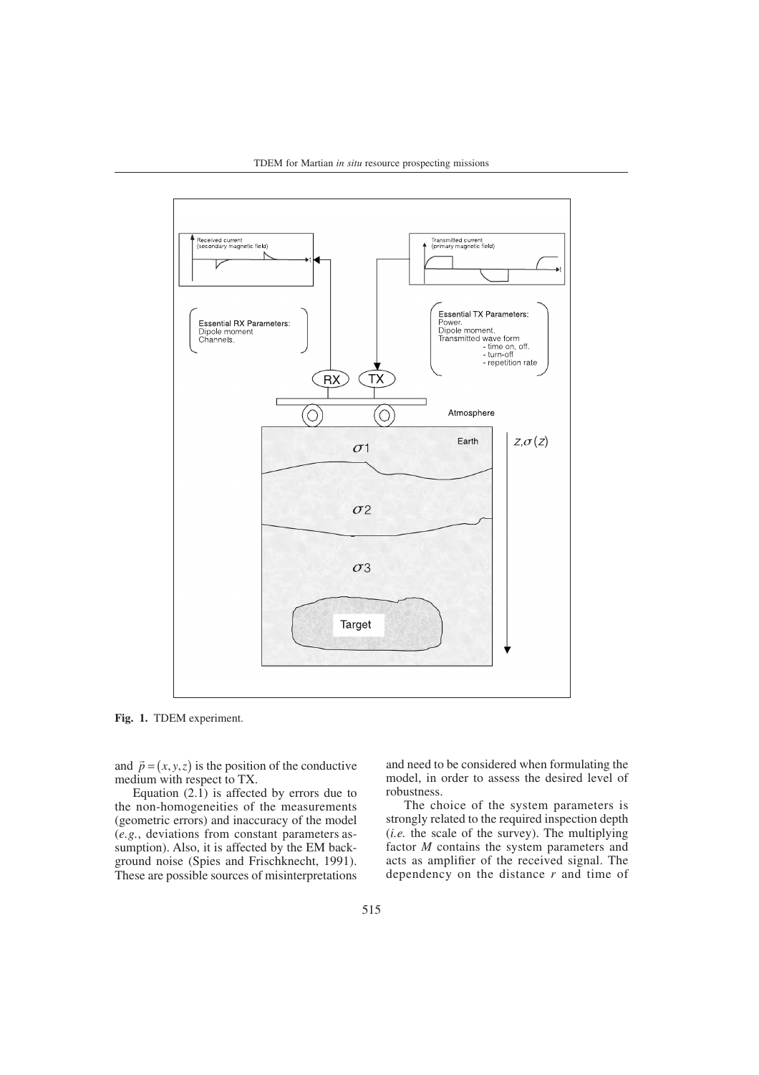

**Fig. 1.** TDEM experiment.

and  $\vec{p} = (x, y, z)$  is the position of the conductive medium with respect to TX.

Equation  $(2.1)$  is affected by errors due to the non-homogeneities of the measurements (geometric errors) and inaccuracy of the model (*e.g.*, deviations from constant parameters assumption). Also, it is affected by the EM background noise (Spies and Frischknecht, 1991). These are possible sources of misinterpretations and need to be considered when formulating the model, in order to assess the desired level of robustness.

The choice of the system parameters is strongly related to the required inspection depth (*i.e.* the scale of the survey). The multiplying factor *M* contains the system parameters and acts as amplifier of the received signal. The dependency on the distance *r* and time of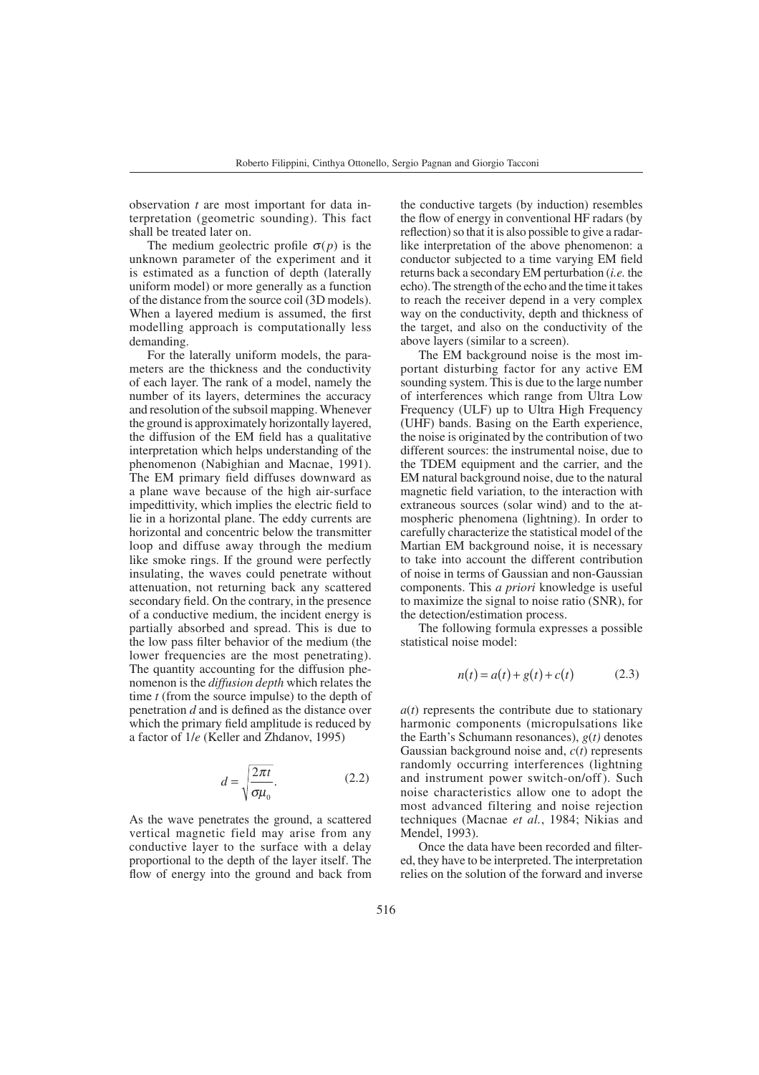observation *t* are most important for data interpretation (geometric sounding). This fact shall be treated later on.

The medium geolectric profile  $\sigma(p)$  is the unknown parameter of the experiment and it is estimated as a function of depth (laterally uniform model) or more generally as a function of the distance from the source coil (3D models). When a layered medium is assumed, the first modelling approach is computationally less demanding.

For the laterally uniform models, the parameters are the thickness and the conductivity of each layer. The rank of a model, namely the number of its layers, determines the accuracy and resolution of the subsoil mapping. Whenever the ground is approximately horizontally layered, the diffusion of the EM field has a qualitative interpretation which helps understanding of the phenomenon (Nabighian and Macnae, 1991). The EM primary field diffuses downward as a plane wave because of the high air-surface impedittivity, which implies the electric field to lie in a horizontal plane. The eddy currents are horizontal and concentric below the transmitter loop and diffuse away through the medium like smoke rings. If the ground were perfectly insulating, the waves could penetrate without attenuation, not returning back any scattered secondary field. On the contrary, in the presence of a conductive medium, the incident energy is partially absorbed and spread. This is due to the low pass filter behavior of the medium (the lower frequencies are the most penetrating). The quantity accounting for the diffusion phenomenon is the *diffusion depth* which relates the time *t* (from the source impulse) to the depth of penetration *d* and is defined as the distance over which the primary field amplitude is reduced by a factor of 1/*e* (Keller and Zhdanov, 1995)

$$
d = \sqrt{\frac{2\pi t}{\sigma \mu_0}}.\tag{2.2}
$$

As the wave penetrates the ground, a scattered vertical magnetic field may arise from any conductive layer to the surface with a delay proportional to the depth of the layer itself. The flow of energy into the ground and back from

the conductive targets (by induction) resembles the flow of energy in conventional HF radars (by reflection) so that it is also possible to give a radarlike interpretation of the above phenomenon: a conductor subjected to a time varying EM field returns back a secondary EM perturbation (*i.e.* the echo). The strength of the echo and the time it takes to reach the receiver depend in a very complex way on the conductivity, depth and thickness of the target, and also on the conductivity of the above layers (similar to a screen).

The EM background noise is the most important disturbing factor for any active EM sounding system. This is due to the large number of interferences which range from Ultra Low Frequency (ULF) up to Ultra High Frequency (UHF) bands. Basing on the Earth experience, the noise is originated by the contribution of two different sources: the instrumental noise, due to the TDEM equipment and the carrier, and the EM natural background noise, due to the natural magnetic field variation, to the interaction with extraneous sources (solar wind) and to the atmospheric phenomena (lightning). In order to carefully characterize the statistical model of the Martian EM background noise, it is necessary to take into account the different contribution of noise in terms of Gaussian and non-Gaussian components. This *a priori* knowledge is useful to maximize the signal to noise ratio (SNR), for the detection/estimation process.

The following formula expresses a possible statistical noise model:

$$
n(t) = a(t) + g(t) + c(t)
$$
 (2.3)

*a*(*t*) represents the contribute due to stationary harmonic components (micropulsations like the Earth's Schumann resonances), *g*(*t)* denotes Gaussian background noise and, *c*(*t*) represents randomly occurring interferences (lightning and instrument power switch-on/off ). Such noise characteristics allow one to adopt the most advanced filtering and noise rejection techniques (Macnae *et al.*, 1984; Nikias and Mendel, 1993).

Once the data have been recorded and filtered, they have to be interpreted. The interpretation relies on the solution of the forward and inverse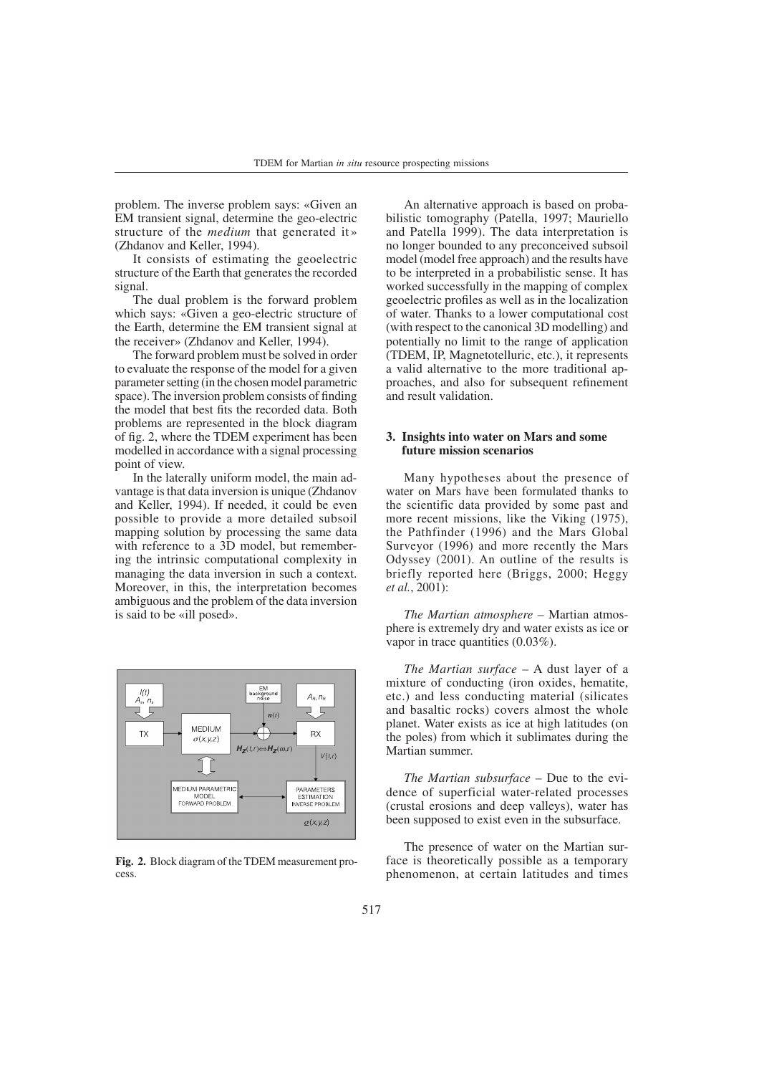problem. The inverse problem says: «Given an EM transient signal, determine the geo-electric structure of the *medium* that generated it » (Zhdanov and Keller, 1994).

It consists of estimating the geoelectric structure of the Earth that generates the recorded signal.

The dual problem is the forward problem which says: «Given a geo-electric structure of the Earth, determine the EM transient signal at the receiver» (Zhdanov and Keller, 1994).

The forward problem must be solved in order to evaluate the response of the model for a given parameter setting (in the chosen model parametric space). The inversion problem consists of finding the model that best fits the recorded data. Both problems are represented in the block diagram of fig. 2, where the TDEM experiment has been modelled in accordance with a signal processing point of view.

In the laterally uniform model, the main advantage is that data inversion is unique (Zhdanov and Keller, 1994). If needed, it could be even possible to provide a more detailed subsoil mapping solution by processing the same data with reference to a 3D model, but remembering the intrinsic computational complexity in managing the data inversion in such a context. Moreover, in this, the interpretation becomes ambiguous and the problem of the data inversion is said to be «ill posed».



**Fig. 2.** Block diagram of the TDEM measurement process.

An alternative approach is based on probabilistic tomography (Patella, 1997; Mauriello and Patella 1999). The data interpretation is no longer bounded to any preconceived subsoil model (model free approach) and the results have to be interpreted in a probabilistic sense. It has worked successfully in the mapping of complex geoelectric profiles as well as in the localization of water. Thanks to a lower computational cost (with respect to the canonical 3D modelling) and potentially no limit to the range of application (TDEM, IP, Magnetotelluric, etc.), it represents a valid alternative to the more traditional approaches, and also for subsequent refinement and result validation.

# **3. Insights into water on Mars and some future mission scenarios**

Many hypotheses about the presence of water on Mars have been formulated thanks to the scientific data provided by some past and more recent missions, like the Viking (1975), the Pathfinder (1996) and the Mars Global Surveyor (1996) and more recently the Mars Odyssey (2001). An outline of the results is briefly reported here (Briggs, 2000; Heggy *et al.*, 2001):

*The Martian atmosphere* – Martian atmosphere is extremely dry and water exists as ice or vapor in trace quantities (0.03%).

*The Martian surface* – A dust layer of a mixture of conducting (iron oxides, hematite, etc.) and less conducting material (silicates and basaltic rocks) covers almost the whole planet. Water exists as ice at high latitudes (on the poles) from which it sublimates during the Martian summer.

*The Martian subsurface* – Due to the evidence of superficial water-related processes (crustal erosions and deep valleys), water has been supposed to exist even in the subsurface.

The presence of water on the Martian surface is theoretically possible as a temporary phenomenon, at certain latitudes and times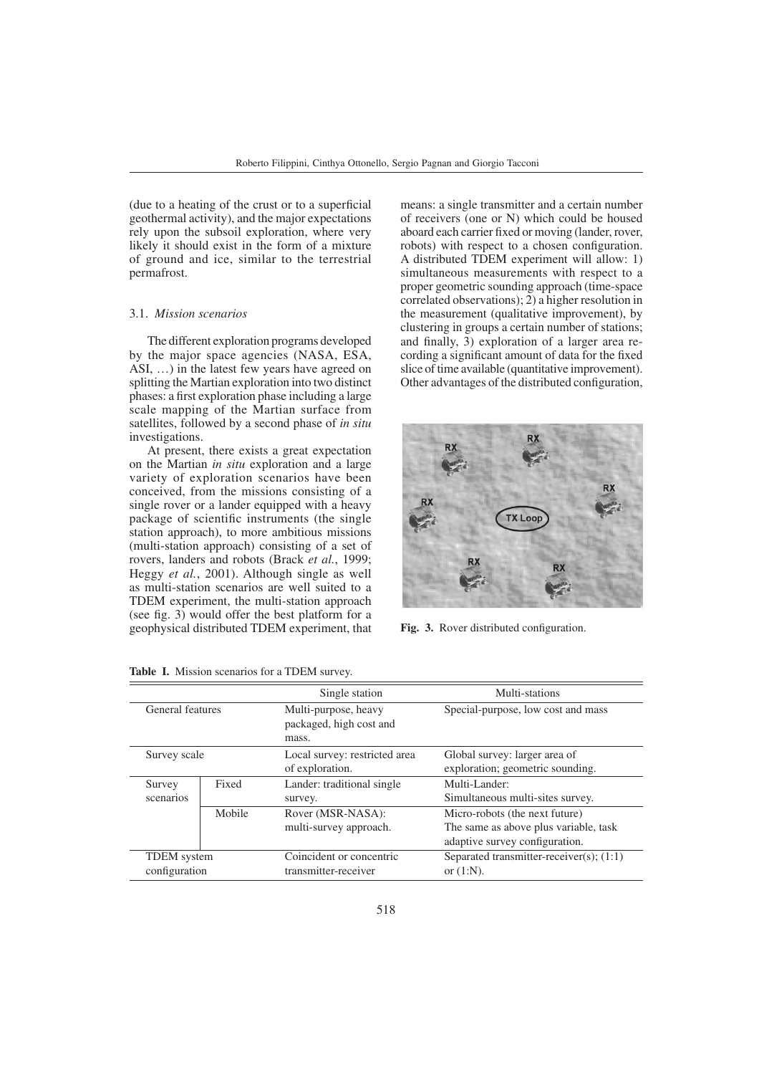(due to a heating of the crust or to a superficial geothermal activity), and the major expectations rely upon the subsoil exploration, where very likely it should exist in the form of a mixture of ground and ice, similar to the terrestrial permafrost.

## 3.1. *Mission scenarios*

The different exploration programs developed by the major space agencies (NASA, ESA, ASI, …) in the latest few years have agreed on splitting the Martian exploration into two distinct phases: a first exploration phase including a large scale mapping of the Martian surface from satellites, followed by a second phase of *in situ* investigations.

At present, there exists a great expectation on the Martian *in situ* exploration and a large variety of exploration scenarios have been conceived, from the missions consisting of a single rover or a lander equipped with a heavy package of scientific instruments (the single station approach), to more ambitious missions (multi-station approach) consisting of a set of rovers, landers and robots (Brack *et al.*, 1999; Heggy *et al.*, 2001). Although single as well as multi-station scenarios are well suited to a TDEM experiment, the multi-station approach (see fig. 3) would offer the best platform for a geophysical distributed TDEM experiment, that means: a single transmitter and a certain number of receivers (one or N) which could be housed aboard each carrier fixed or moving (lander, rover, robots) with respect to a chosen configuration. A distributed TDEM experiment will allow: 1) simultaneous measurements with respect to a proper geometric sounding approach (time-space correlated observations); 2) a higher resolution in the measurement (qualitative improvement), by clustering in groups a certain number of stations; and finally, 3) exploration of a larger area recording a significant amount of data for the fixed slice of time available (quantitative improvement). Other advantages of the distributed configuration,



**Fig. 3.** Rover distributed configuration.

|                                     |        | Single station                                           | Multi-stations                                                                                            |  |
|-------------------------------------|--------|----------------------------------------------------------|-----------------------------------------------------------------------------------------------------------|--|
| General features                    |        | Multi-purpose, heavy<br>packaged, high cost and<br>mass. | Special-purpose, low cost and mass                                                                        |  |
| Survey scale                        |        | Local survey: restricted area<br>of exploration.         | Global survey: larger area of<br>exploration; geometric sounding.                                         |  |
| Survey<br>scenarios                 | Fixed  | Lander: traditional single<br>survey.                    | Multi-Lander:<br>Simultaneous multi-sites survey.                                                         |  |
|                                     | Mobile | Rover (MSR-NASA):<br>multi-survey approach.              | Micro-robots (the next future)<br>The same as above plus variable, task<br>adaptive survey configuration. |  |
| <b>TDEM</b> system<br>configuration |        | Coincident or concentric<br>transmitter-receiver         | Separated transmitter-receiver(s); $(1:1)$<br>or $(1:N)$ .                                                |  |

**Table I.** Mission scenarios for a TDEM survey.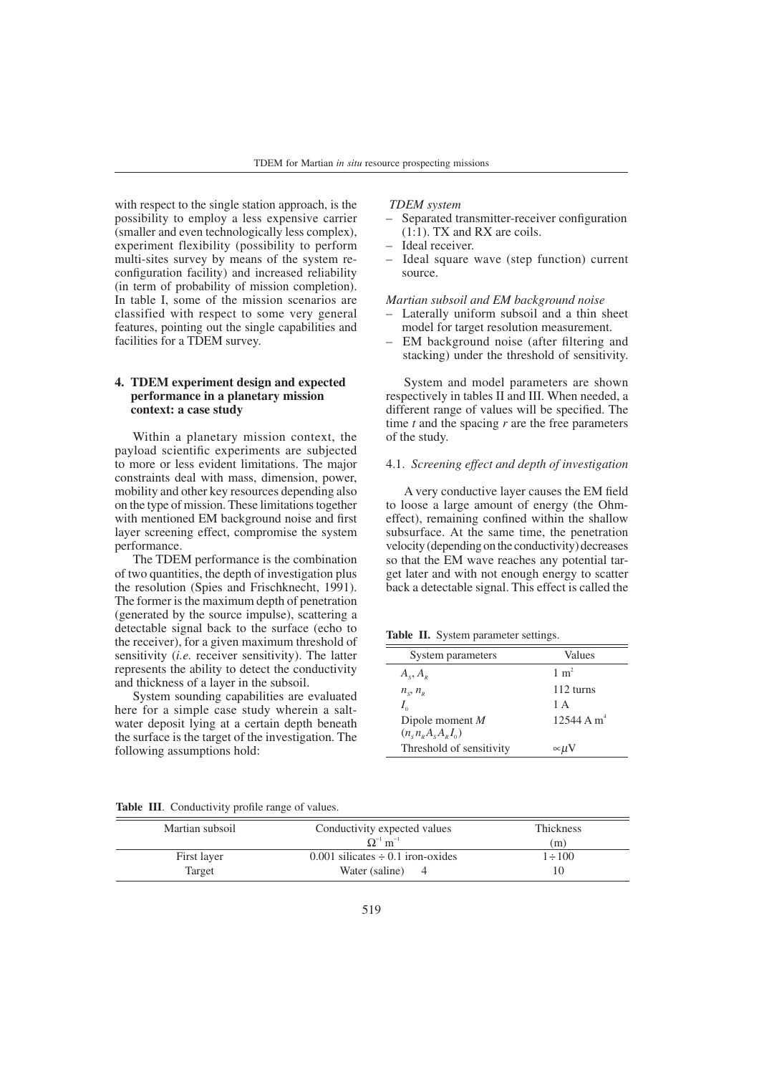with respect to the single station approach, is the possibility to employ a less expensive carrier (smaller and even technologically less complex), experiment flexibility (possibility to perform multi-sites survey by means of the system reconfiguration facility) and increased reliability (in term of probability of mission completion). In table I, some of the mission scenarios are classified with respect to some very general features, pointing out the single capabilities and facilities for a TDEM survey.

# **4. TDEM experiment design and expected performance in a planetary mission context: a case study**

Within a planetary mission context, the payload scientific experiments are subjected to more or less evident limitations. The major constraints deal with mass, dimension, power, mobility and other key resources depending also on the type of mission. These limitations together with mentioned EM background noise and first layer screening effect, compromise the system performance.

The TDEM performance is the combination of two quantities, the depth of investigation plus the resolution (Spies and Frischknecht, 1991). The former is the maximum depth of penetration (generated by the source impulse), scattering a detectable signal back to the surface (echo to the receiver), for a given maximum threshold of sensitivity (*i.e.* receiver sensitivity). The latter represents the ability to detect the conductivity and thickness of a layer in the subsoil.

System sounding capabilities are evaluated here for a simple case study wherein a saltwater deposit lying at a certain depth beneath the surface is the target of the investigation. The following assumptions hold:

# *TDEM system*

- Separated transmitter-receiver configuration (1:1). TX and RX are coils.
- Ideal receiver.
- Ideal square wave (step function) current source.

# *Martian subsoil and EM background noise*

- Laterally uniform subsoil and a thin sheet model for target resolution measurement.
- EM background noise (after filtering and stacking) under the threshold of sensitivity.

System and model parameters are shown respectively in tables II and III. When needed, a different range of values will be specified. The time *t* and the spacing *r* are the free parameters of the study.

#### 4.1. *Screening effect and depth of investigation*

A very conductive layer causes the EM field to loose a large amount of energy (the Ohmeffect), remaining confined within the shallow subsurface. At the same time, the penetration velocity (depending on the conductivity) decreases so that the EM wave reaches any potential target later and with not enough energy to scatter back a detectable signal. This effect is called the

**Table II.** System parameter settings.

| System parameters        | Values              |
|--------------------------|---------------------|
| $A_{s}, A_{p}$           | $1 \text{ m}^2$     |
| $n_{\rm c}, n_{\rm p}$   | $112 \text{ turns}$ |
| $I_{0}$                  | 1 A                 |
| Dipole moment $M$        | 12544 A $m^4$       |
| $(n_s n_p A_s A_p I_0)$  |                     |
| Threshold of sensitivity | $\propto \mu V$     |

|  |  | Table III. Conductivity profile range of values. |  |  |  |  |  |
|--|--|--------------------------------------------------|--|--|--|--|--|
|--|--|--------------------------------------------------|--|--|--|--|--|

| Martian subsoil       | Conductivity expected values<br>$\Omega^{-1}$ m <sup>-1</sup>              | Thickness<br>(m) |  |
|-----------------------|----------------------------------------------------------------------------|------------------|--|
| First layer<br>Target | 0.001 silicates $\div$ 0.1 iron-oxides<br>Water (saline)<br>$\overline{4}$ | $1 \div 100$     |  |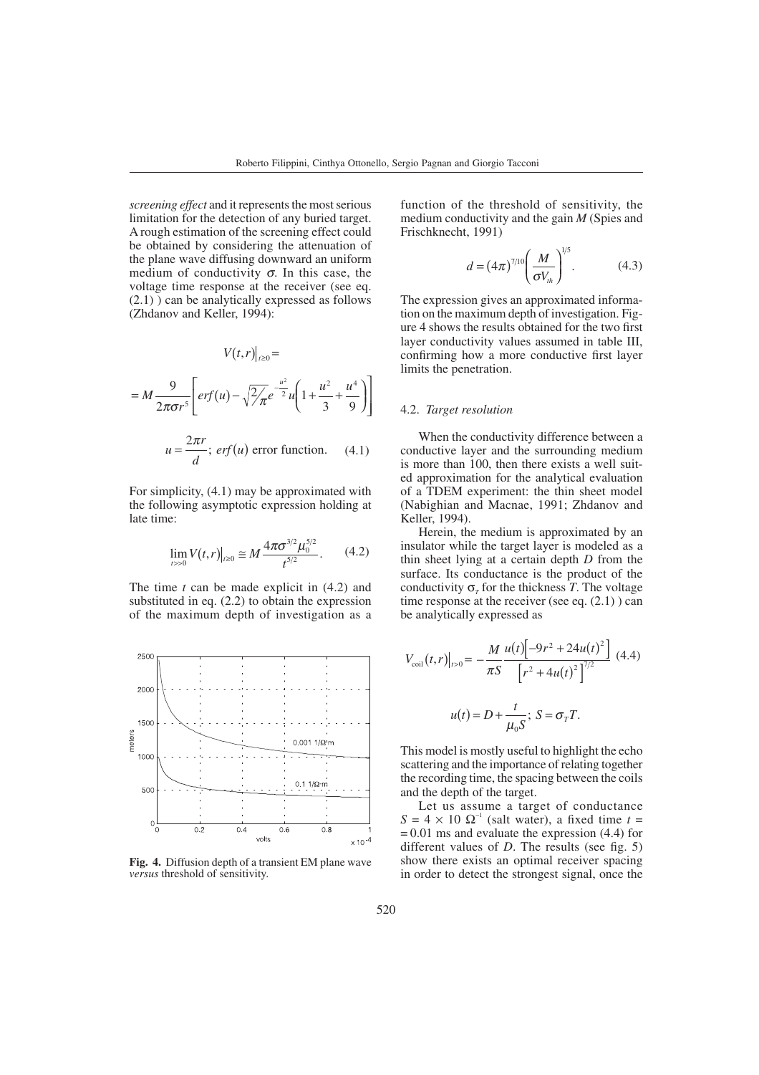*screening effect* and it represents the most serious limitation for the detection of any buried target. A rough estimation of the screening effect could be obtained by considering the attenuation of the plane wave diffusing downward an uniform medium of conductivity  $\sigma$ . In this case, the voltage time response at the receiver (see eq. (2.1) ) can be analytically expressed as follows (Zhdanov and Keller, 1994):

$$
V(t,r)|_{t\geq0} =
$$
  
=  $M \frac{9}{2\pi\sigma r^5} \left[ erf(u) - \sqrt{2\pi}e^{-\frac{u^2}{2}}u\left(1 + \frac{u^2}{3} + \frac{u^4}{9}\right) \right]$   

$$
u = \frac{2\pi r}{d}
$$
; *erf(u)* error function. (4.1)

For simplicity, (4.1) may be approximated with the following asymptotic expression holding at late time:

$$
\lim_{t\to 0} V(t,r)|_{t\geq 0} \cong M \frac{4\pi \sigma^{3/2} \mu_0^{5/2}}{t^{5/2}}.\tag{4.2}
$$

The time *t* can be made explicit in (4.2) and substituted in eq. (2.2) to obtain the expression of the maximum depth of investigation as a



**Fig. 4.** Diffusion depth of a transient EM plane wave *versus* threshold of sensitivity.

function of the threshold of sensitivity, the medium conductivity and the gain *M* (Spies and Frischknecht, 1991)

$$
d = (4\pi)^{7/10} \left(\frac{M}{\sigma V_{th}}\right)^{1/5}.
$$
 (4.3)

The expression gives an approximated information on the maximum depth of investigation. Figure 4 shows the results obtained for the two first layer conductivity values assumed in table III, confirming how a more conductive first layer limits the penetration.

## 4.2. *Target resolution*

When the conductivity difference between a conductive layer and the surrounding medium is more than 100, then there exists a well suited approximation for the analytical evaluation of a TDEM experiment: the thin sheet model (Nabighian and Macnae, 1991; Zhdanov and Keller, 1994).

Herein, the medium is approximated by an insulator while the target layer is modeled as a thin sheet lying at a certain depth *D* from the surface. Its conductance is the product of the conductivity  $\sigma_{\tau}$  for the thickness *T*. The voltage time response at the receiver (see eq.  $(2.1)$ ) can be analytically expressed as

$$
V_{\text{coil}}(t, r)|_{t>0} = -\frac{M}{\pi S} \frac{u(t) \left[ -9r^2 + 24u(t)^2 \right]}{\left[ r^2 + 4u(t)^2 \right]^{7/2}} \tag{4.4}
$$

$$
u(t) = D + \frac{t}{\mu_0 S}; \ S = \sigma_T T.
$$

This model is mostly useful to highlight the echo scattering and the importance of relating together the recording time, the spacing between the coils and the depth of the target.

Let us assume a target of conductance  $S = 4 \times 10 \Omega^{-1}$  (salt water), a fixed time  $t =$  $= 0.01$  ms and evaluate the expression (4.4) for different values of *D*. The results (see fig. 5) show there exists an optimal receiver spacing in order to detect the strongest signal, once the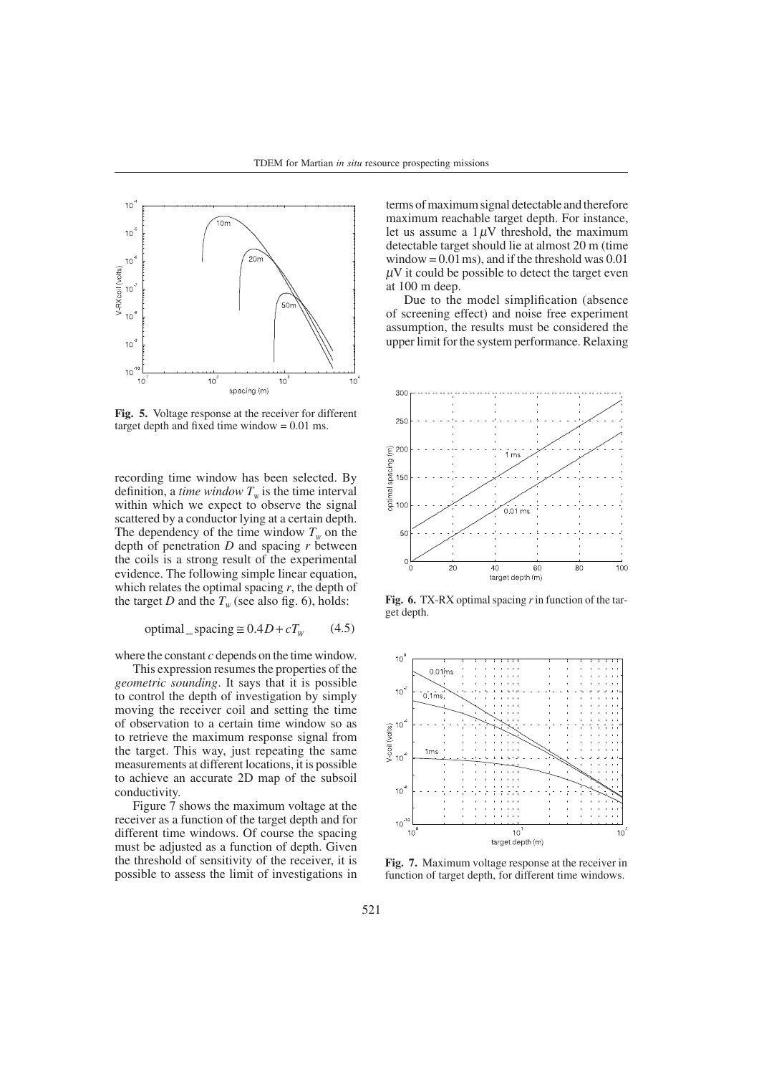

**Fig. 5.** Voltage response at the receiver for different target depth and fixed time window = 0.01 ms.

recording time window has been selected. By definition, a *time window*  $T_w$  is the time interval within which we expect to observe the signal scattered by a conductor lying at a certain depth. The dependency of the time window  $T_w$  on the depth of penetration *D* and spacing *r* between the coils is a strong result of the experimental evidence. The following simple linear equation, which relates the optimal spacing *r*, the depth of the target *D* and the  $T_w$  (see also fig. 6), holds:

$$
optimal\_spacing \cong 0.4D + cT_w \qquad (4.5)
$$

where the constant *c* depends on the time window.

This expression resumes the properties of the *geometric sounding*. It says that it is possible to control the depth of investigation by simply moving the receiver coil and setting the time of observation to a certain time window so as to retrieve the maximum response signal from the target. This way, just repeating the same measurements at different locations, it is possible to achieve an accurate 2D map of the subsoil conductivity.

Figure 7 shows the maximum voltage at the receiver as a function of the target depth and for different time windows. Of course the spacing must be adjusted as a function of depth. Given the threshold of sensitivity of the receiver, it is possible to assess the limit of investigations in

terms of maximum signal detectable and therefore maximum reachable target depth. For instance, let us assume a  $1 \mu$ V threshold, the maximum detectable target should lie at almost 20 m (time window =  $0.01$  ms), and if the threshold was  $0.01$  $\mu$ V it could be possible to detect the target even at 100 m deep.

Due to the model simplification (absence of screening effect) and noise free experiment assumption, the results must be considered the upper limit for the system performance. Relaxing



**Fig. 6.** TX-RX optimal spacing *r*in function of the target depth.



**Fig. 7.** Maximum voltage response at the receiver in function of target depth, for different time windows.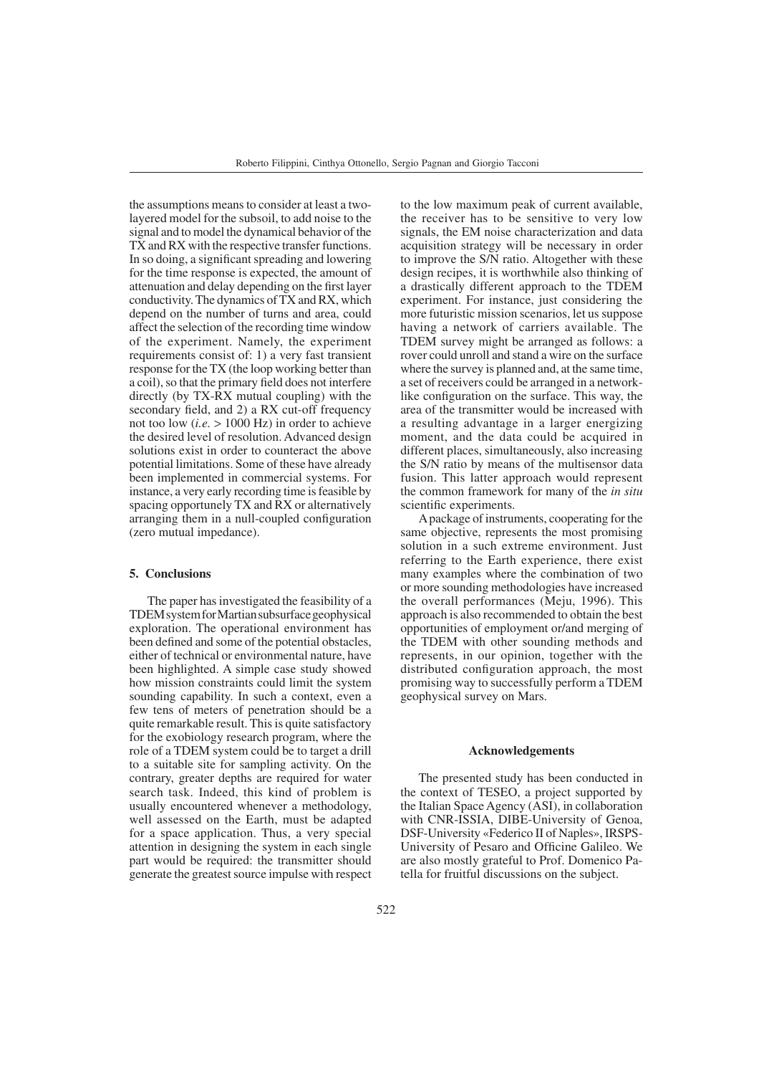the assumptions means to consider at least a twolayered model for the subsoil, to add noise to the signal and to model the dynamical behavior of the TX and RX with the respective transfer functions. In so doing, a significant spreading and lowering for the time response is expected, the amount of attenuation and delay depending on the first layer conductivity. The dynamics of TX and RX, which depend on the number of turns and area, could affect the selection of the recording time window of the experiment. Namely, the experiment requirements consist of: 1) a very fast transient response for the TX (the loop working better than a coil), so that the primary field does not interfere directly (by TX-RX mutual coupling) with the secondary field, and 2) a RX cut-off frequency not too low (*i.e.* > 1000 Hz) in order to achieve the desired level of resolution. Advanced design solutions exist in order to counteract the above potential limitations. Some of these have already been implemented in commercial systems. For instance, a very early recording time is feasible by spacing opportunely TX and RX or alternatively arranging them in a null-coupled configuration (zero mutual impedance).

#### **5. Conclusions**

The paper has investigated the feasibility of a TDEM system for Martian subsurface geophysical exploration. The operational environment has been defined and some of the potential obstacles, either of technical or environmental nature, have been highlighted. A simple case study showed how mission constraints could limit the system sounding capability. In such a context, even a few tens of meters of penetration should be a quite remarkable result. This is quite satisfactory for the exobiology research program, where the role of a TDEM system could be to target a drill to a suitable site for sampling activity. On the contrary, greater depths are required for water search task. Indeed, this kind of problem is usually encountered whenever a methodology, well assessed on the Earth, must be adapted for a space application. Thus, a very special attention in designing the system in each single part would be required: the transmitter should generate the greatest source impulse with respect to the low maximum peak of current available, the receiver has to be sensitive to very low signals, the EM noise characterization and data acquisition strategy will be necessary in order to improve the S/N ratio. Altogether with these design recipes, it is worthwhile also thinking of a drastically different approach to the TDEM experiment. For instance, just considering the more futuristic mission scenarios, let us suppose having a network of carriers available. The TDEM survey might be arranged as follows: a rover could unroll and stand a wire on the surface where the survey is planned and, at the same time, a set of receivers could be arranged in a networklike configuration on the surface. This way, the area of the transmitter would be increased with a resulting advantage in a larger energizing moment, and the data could be acquired in different places, simultaneously, also increasing the S/N ratio by means of the multisensor data fusion. This latter approach would represent the common framework for many of the *in situ* scientific experiments.

Apackage of instruments, cooperating for the same objective, represents the most promising solution in a such extreme environment. Just referring to the Earth experience, there exist many examples where the combination of two or more sounding methodologies have increased the overall performances (Meju, 1996). This approach is also recommended to obtain the best opportunities of employment or/and merging of the TDEM with other sounding methods and represents, in our opinion, together with the distributed configuration approach, the most promising way to successfully perform a TDEM geophysical survey on Mars.

#### **Acknowledgements**

The presented study has been conducted in the context of TESEO, a project supported by the Italian Space Agency (ASI), in collaboration with CNR-ISSIA, DIBE-University of Genoa, DSF-University «Federico II of Naples», IRSPS-University of Pesaro and Officine Galileo. We are also mostly grateful to Prof. Domenico Patella for fruitful discussions on the subject.